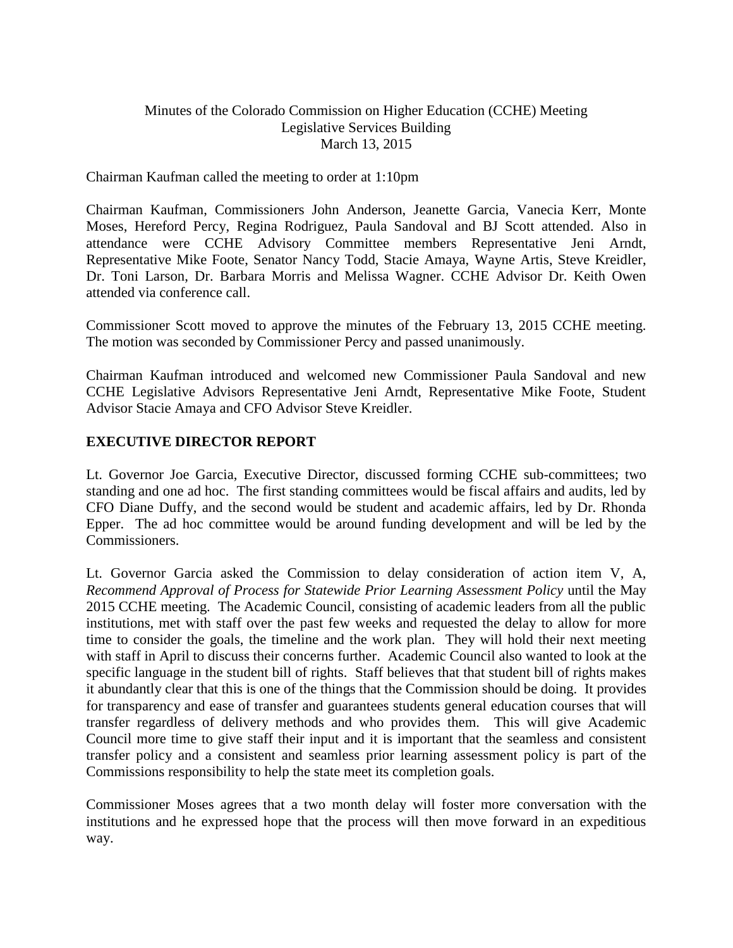### Minutes of the Colorado Commission on Higher Education (CCHE) Meeting Legislative Services Building March 13, 2015

#### Chairman Kaufman called the meeting to order at 1:10pm

Chairman Kaufman, Commissioners John Anderson, Jeanette Garcia, Vanecia Kerr, Monte Moses, Hereford Percy, Regina Rodriguez, Paula Sandoval and BJ Scott attended. Also in attendance were CCHE Advisory Committee members Representative Jeni Arndt, Representative Mike Foote, Senator Nancy Todd, Stacie Amaya, Wayne Artis, Steve Kreidler, Dr. Toni Larson, Dr. Barbara Morris and Melissa Wagner. CCHE Advisor Dr. Keith Owen attended via conference call.

Commissioner Scott moved to approve the minutes of the February 13, 2015 CCHE meeting. The motion was seconded by Commissioner Percy and passed unanimously.

Chairman Kaufman introduced and welcomed new Commissioner Paula Sandoval and new CCHE Legislative Advisors Representative Jeni Arndt, Representative Mike Foote, Student Advisor Stacie Amaya and CFO Advisor Steve Kreidler.

### **EXECUTIVE DIRECTOR REPORT**

Lt. Governor Joe Garcia, Executive Director, discussed forming CCHE sub-committees; two standing and one ad hoc. The first standing committees would be fiscal affairs and audits, led by CFO Diane Duffy, and the second would be student and academic affairs, led by Dr. Rhonda Epper. The ad hoc committee would be around funding development and will be led by the Commissioners.

Lt. Governor Garcia asked the Commission to delay consideration of action item V, A, *Recommend Approval of Process for Statewide Prior Learning Assessment Policy* until the May 2015 CCHE meeting. The Academic Council, consisting of academic leaders from all the public institutions, met with staff over the past few weeks and requested the delay to allow for more time to consider the goals, the timeline and the work plan. They will hold their next meeting with staff in April to discuss their concerns further. Academic Council also wanted to look at the specific language in the student bill of rights. Staff believes that that student bill of rights makes it abundantly clear that this is one of the things that the Commission should be doing. It provides for transparency and ease of transfer and guarantees students general education courses that will transfer regardless of delivery methods and who provides them. This will give Academic Council more time to give staff their input and it is important that the seamless and consistent transfer policy and a consistent and seamless prior learning assessment policy is part of the Commissions responsibility to help the state meet its completion goals.

Commissioner Moses agrees that a two month delay will foster more conversation with the institutions and he expressed hope that the process will then move forward in an expeditious way.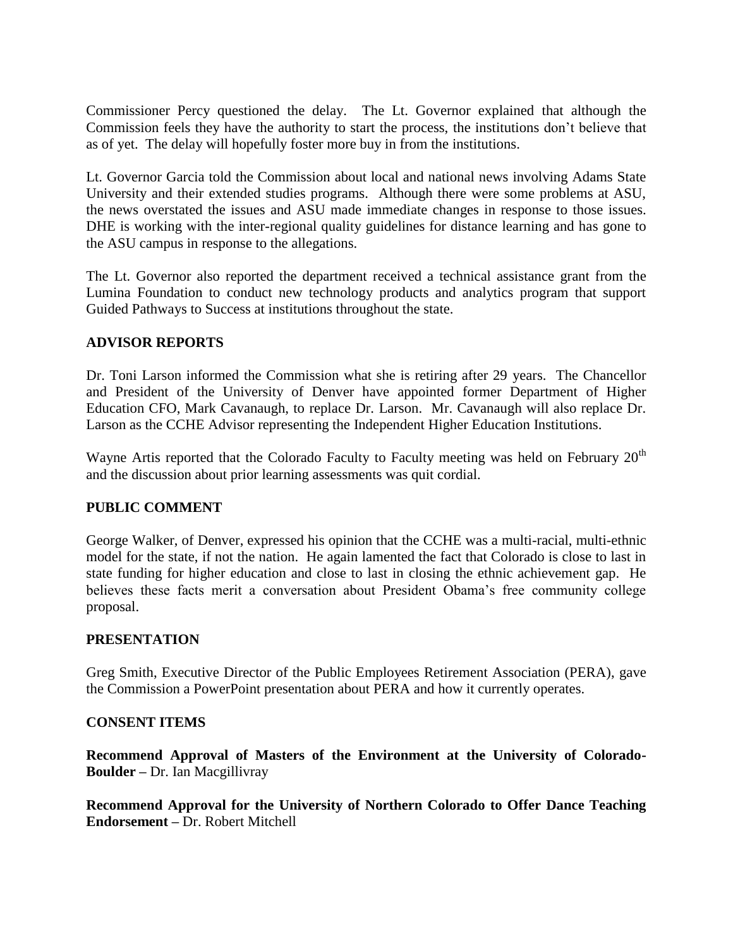Commissioner Percy questioned the delay. The Lt. Governor explained that although the Commission feels they have the authority to start the process, the institutions don't believe that as of yet. The delay will hopefully foster more buy in from the institutions.

Lt. Governor Garcia told the Commission about local and national news involving Adams State University and their extended studies programs. Although there were some problems at ASU, the news overstated the issues and ASU made immediate changes in response to those issues. DHE is working with the inter-regional quality guidelines for distance learning and has gone to the ASU campus in response to the allegations.

The Lt. Governor also reported the department received a technical assistance grant from the Lumina Foundation to conduct new technology products and analytics program that support Guided Pathways to Success at institutions throughout the state.

# **ADVISOR REPORTS**

Dr. Toni Larson informed the Commission what she is retiring after 29 years. The Chancellor and President of the University of Denver have appointed former Department of Higher Education CFO, Mark Cavanaugh, to replace Dr. Larson. Mr. Cavanaugh will also replace Dr. Larson as the CCHE Advisor representing the Independent Higher Education Institutions.

Wayne Artis reported that the Colorado Faculty to Faculty meeting was held on February  $20<sup>th</sup>$ and the discussion about prior learning assessments was quit cordial.

# **PUBLIC COMMENT**

George Walker, of Denver, expressed his opinion that the CCHE was a multi-racial, multi-ethnic model for the state, if not the nation. He again lamented the fact that Colorado is close to last in state funding for higher education and close to last in closing the ethnic achievement gap. He believes these facts merit a conversation about President Obama's free community college proposal.

### **PRESENTATION**

Greg Smith, Executive Director of the Public Employees Retirement Association (PERA), gave the Commission a PowerPoint presentation about PERA and how it currently operates.

### **CONSENT ITEMS**

**Recommend Approval of Masters of the Environment at the University of Colorado-Boulder –** Dr. Ian Macgillivray

**Recommend Approval for the University of Northern Colorado to Offer Dance Teaching Endorsement –** Dr. Robert Mitchell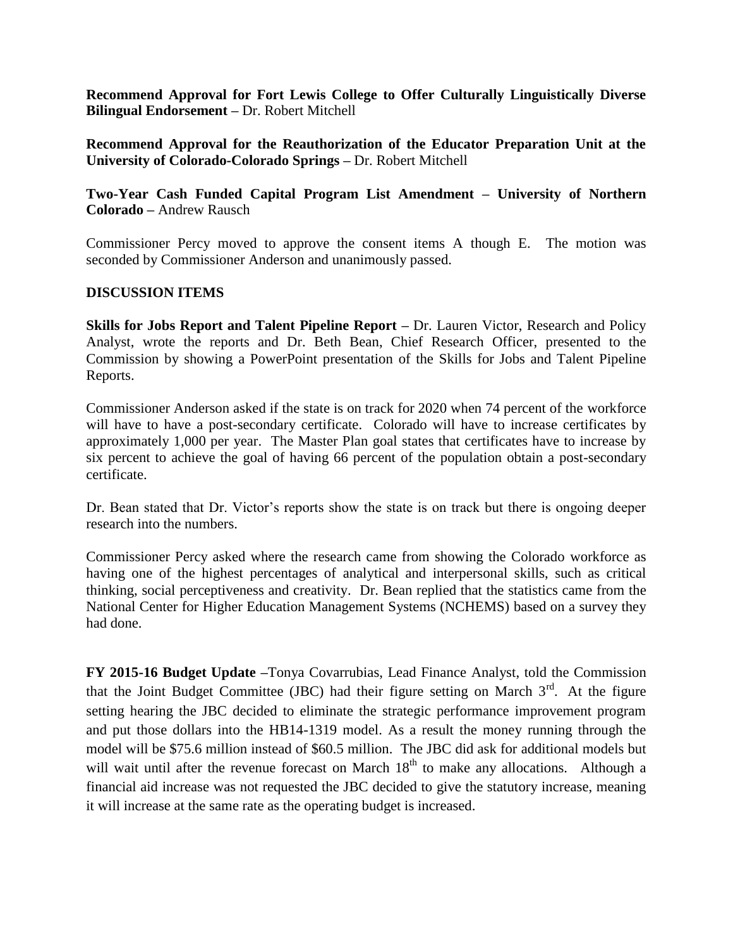**Recommend Approval for Fort Lewis College to Offer Culturally Linguistically Diverse Bilingual Endorsement –** Dr. Robert Mitchell

**Recommend Approval for the Reauthorization of the Educator Preparation Unit at the University of Colorado-Colorado Springs –** Dr. Robert Mitchell

**Two-Year Cash Funded Capital Program List Amendment – University of Northern Colorado –** Andrew Rausch

Commissioner Percy moved to approve the consent items A though E. The motion was seconded by Commissioner Anderson and unanimously passed.

### **DISCUSSION ITEMS**

**Skills for Jobs Report and Talent Pipeline Report** – Dr. Lauren Victor, Research and Policy Analyst, wrote the reports and Dr. Beth Bean, Chief Research Officer, presented to the Commission by showing a PowerPoint presentation of the Skills for Jobs and Talent Pipeline Reports.

Commissioner Anderson asked if the state is on track for 2020 when 74 percent of the workforce will have to have a post-secondary certificate. Colorado will have to increase certificates by approximately 1,000 per year. The Master Plan goal states that certificates have to increase by six percent to achieve the goal of having 66 percent of the population obtain a post-secondary certificate.

Dr. Bean stated that Dr. Victor's reports show the state is on track but there is ongoing deeper research into the numbers.

Commissioner Percy asked where the research came from showing the Colorado workforce as having one of the highest percentages of analytical and interpersonal skills, such as critical thinking, social perceptiveness and creativity. Dr. Bean replied that the statistics came from the National Center for Higher Education Management Systems (NCHEMS) based on a survey they had done.

**FY 2015-16 Budget Update –**Tonya Covarrubias, Lead Finance Analyst, told the Commission that the Joint Budget Committee (JBC) had their figure setting on March  $3<sup>rd</sup>$ . At the figure setting hearing the JBC decided to eliminate the strategic performance improvement program and put those dollars into the HB14-1319 model. As a result the money running through the model will be \$75.6 million instead of \$60.5 million. The JBC did ask for additional models but will wait until after the revenue forecast on March  $18<sup>th</sup>$  to make any allocations. Although a financial aid increase was not requested the JBC decided to give the statutory increase, meaning it will increase at the same rate as the operating budget is increased.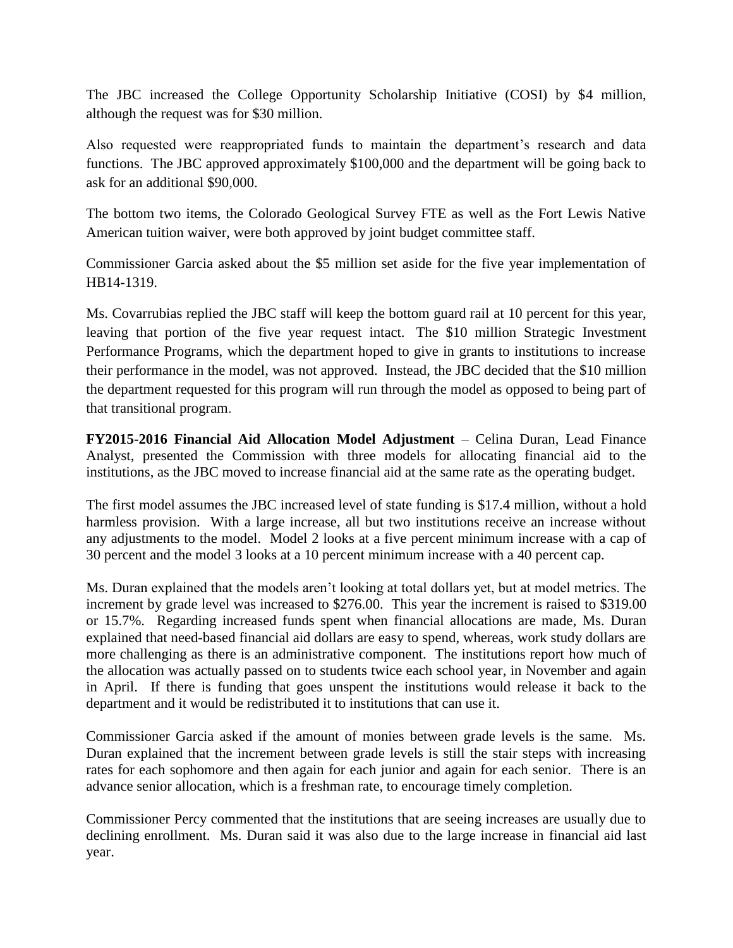The JBC increased the College Opportunity Scholarship Initiative (COSI) by \$4 million, although the request was for \$30 million.

Also requested were reappropriated funds to maintain the department's research and data functions. The JBC approved approximately \$100,000 and the department will be going back to ask for an additional \$90,000.

The bottom two items, the Colorado Geological Survey FTE as well as the Fort Lewis Native American tuition waiver, were both approved by joint budget committee staff.

Commissioner Garcia asked about the \$5 million set aside for the five year implementation of HB14-1319.

Ms. Covarrubias replied the JBC staff will keep the bottom guard rail at 10 percent for this year, leaving that portion of the five year request intact. The \$10 million Strategic Investment Performance Programs, which the department hoped to give in grants to institutions to increase their performance in the model, was not approved. Instead, the JBC decided that the \$10 million the department requested for this program will run through the model as opposed to being part of that transitional program.

**FY2015-2016 Financial Aid Allocation Model Adjustment** – Celina Duran, Lead Finance Analyst, presented the Commission with three models for allocating financial aid to the institutions, as the JBC moved to increase financial aid at the same rate as the operating budget.

The first model assumes the JBC increased level of state funding is \$17.4 million, without a hold harmless provision. With a large increase, all but two institutions receive an increase without any adjustments to the model. Model 2 looks at a five percent minimum increase with a cap of 30 percent and the model 3 looks at a 10 percent minimum increase with a 40 percent cap.

Ms. Duran explained that the models aren't looking at total dollars yet, but at model metrics. The increment by grade level was increased to \$276.00. This year the increment is raised to \$319.00 or 15.7%. Regarding increased funds spent when financial allocations are made, Ms. Duran explained that need-based financial aid dollars are easy to spend, whereas, work study dollars are more challenging as there is an administrative component. The institutions report how much of the allocation was actually passed on to students twice each school year, in November and again in April. If there is funding that goes unspent the institutions would release it back to the department and it would be redistributed it to institutions that can use it.

Commissioner Garcia asked if the amount of monies between grade levels is the same. Ms. Duran explained that the increment between grade levels is still the stair steps with increasing rates for each sophomore and then again for each junior and again for each senior. There is an advance senior allocation, which is a freshman rate, to encourage timely completion.

Commissioner Percy commented that the institutions that are seeing increases are usually due to declining enrollment. Ms. Duran said it was also due to the large increase in financial aid last year.